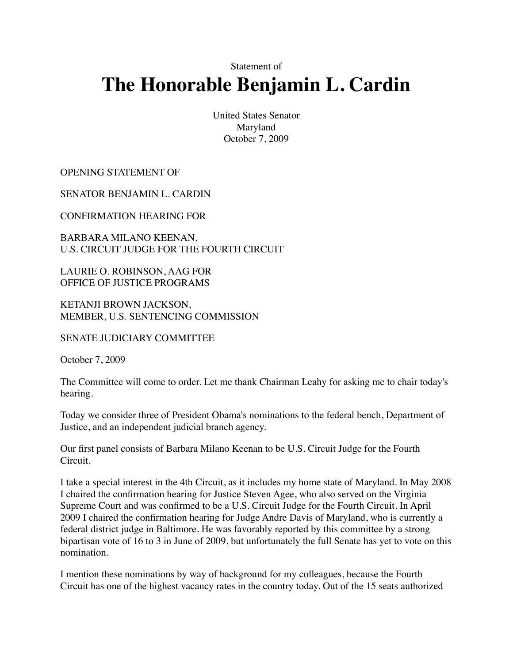Statement of

## **The Honorable Benjamin L. Cardin**

United States Senator Maryland October 7, 2009

OPENING STATEMENT OF

SENATOR BENJAMIN L. CARDIN

CONFIRMATION HEARING FOR

BARBARA MILANO KEENAN, U.S. CIRCUIT JUDGE FOR THE FOURTH CIRCUIT

LAURIE O. ROBINSON, AAG FOR OFFICE OF JUSTICE PROGRAMS

KETANJI BROWN JACKSON, MEMBER, U.S. SENTENCING COMMISSION

SENATE JUDICIARY COMMITTEE

October 7, 2009

The Committee will come to order. Let me thank Chairman Leahy for asking me to chair today's hearing.

Today we consider three of President Obama's nominations to the federal bench, Department of Justice, and an independent judicial branch agency.

Our first panel consists of Barbara Milano Keenan to be U.S. Circuit Judge for the Fourth Circuit.

I take a special interest in the 4th Circuit, as it includes my home state of Maryland. In May 2008 I chaired the confirmation hearing for Justice Steven Agee, who also served on the Virginia Supreme Court and was confirmed to be a U.S. Circuit Judge for the Fourth Circuit. In April 2009 I chaired the confirmation hearing for Judge Andre Davis of Maryland, who is currently a federal district judge in Baltimore. He was favorably reported by this committee by a strong bipartisan vote of 16 to 3 in June of 2009, but unfortunately the full Senate has yet to vote on this nomination.

I mention these nominations by way of background for my colleagues, because the Fourth Circuit has one of the highest vacancy rates in the country today. Out of the 15 seats authorized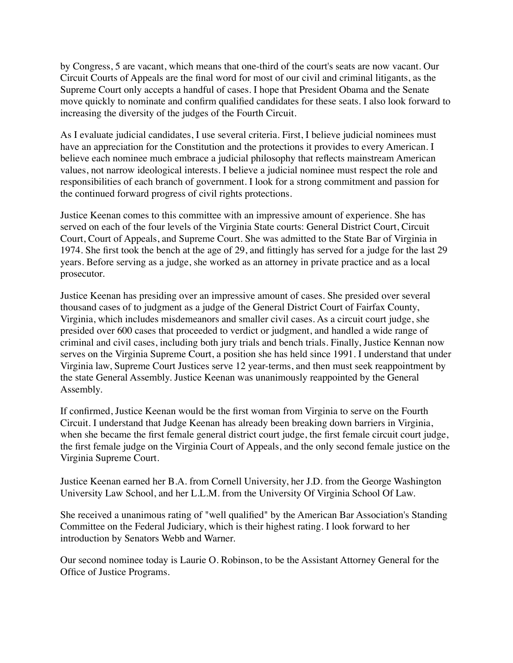by Congress, 5 are vacant, which means that one-third of the court's seats are now vacant. Our Circuit Courts of Appeals are the final word for most of our civil and criminal litigants, as the Supreme Court only accepts a handful of cases. I hope that President Obama and the Senate move quickly to nominate and confirm qualified candidates for these seats. I also look forward to increasing the diversity of the judges of the Fourth Circuit.

As I evaluate judicial candidates, I use several criteria. First, I believe judicial nominees must have an appreciation for the Constitution and the protections it provides to every American. I believe each nominee much embrace a judicial philosophy that reflects mainstream American values, not narrow ideological interests. I believe a judicial nominee must respect the role and responsibilities of each branch of government. I look for a strong commitment and passion for the continued forward progress of civil rights protections.

Justice Keenan comes to this committee with an impressive amount of experience. She has served on each of the four levels of the Virginia State courts: General District Court, Circuit Court, Court of Appeals, and Supreme Court. She was admitted to the State Bar of Virginia in 1974. She first took the bench at the age of 29, and fittingly has served for a judge for the last 29 years. Before serving as a judge, she worked as an attorney in private practice and as a local prosecutor.

Justice Keenan has presiding over an impressive amount of cases. She presided over several thousand cases of to judgment as a judge of the General District Court of Fairfax County, Virginia, which includes misdemeanors and smaller civil cases. As a circuit court judge, she presided over 600 cases that proceeded to verdict or judgment, and handled a wide range of criminal and civil cases, including both jury trials and bench trials. Finally, Justice Kennan now serves on the Virginia Supreme Court, a position she has held since 1991. I understand that under Virginia law, Supreme Court Justices serve 12 year-terms, and then must seek reappointment by the state General Assembly. Justice Keenan was unanimously reappointed by the General Assembly.

If confirmed, Justice Keenan would be the first woman from Virginia to serve on the Fourth Circuit. I understand that Judge Keenan has already been breaking down barriers in Virginia, when she became the first female general district court judge, the first female circuit court judge, the first female judge on the Virginia Court of Appeals, and the only second female justice on the Virginia Supreme Court.

Justice Keenan earned her B.A. from Cornell University, her J.D. from the George Washington University Law School, and her L.L.M. from the University Of Virginia School Of Law.

She received a unanimous rating of "well qualified" by the American Bar Association's Standing Committee on the Federal Judiciary, which is their highest rating. I look forward to her introduction by Senators Webb and Warner.

Our second nominee today is Laurie O. Robinson, to be the Assistant Attorney General for the Office of Justice Programs.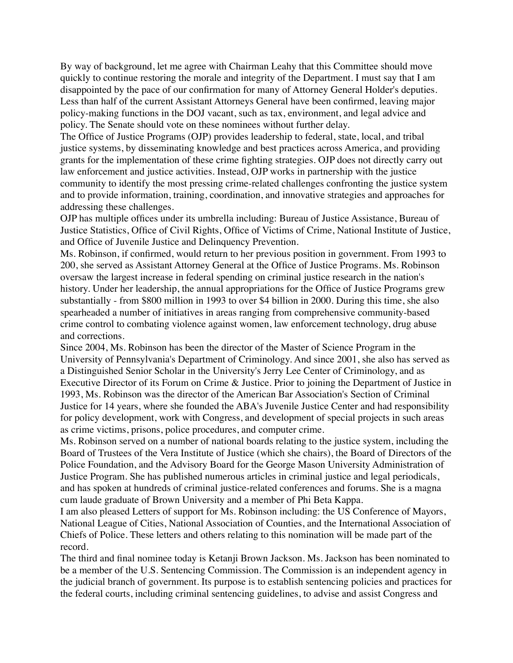By way of background, let me agree with Chairman Leahy that this Committee should move quickly to continue restoring the morale and integrity of the Department. I must say that I am disappointed by the pace of our confirmation for many of Attorney General Holder's deputies. Less than half of the current Assistant Attorneys General have been confirmed, leaving major policy-making functions in the DOJ vacant, such as tax, environment, and legal advice and policy. The Senate should vote on these nominees without further delay.

The Office of Justice Programs (OJP) provides leadership to federal, state, local, and tribal justice systems, by disseminating knowledge and best practices across America, and providing grants for the implementation of these crime fighting strategies. OJP does not directly carry out law enforcement and justice activities. Instead, OJP works in partnership with the justice community to identify the most pressing crime-related challenges confronting the justice system and to provide information, training, coordination, and innovative strategies and approaches for addressing these challenges.

OJP has multiple offices under its umbrella including: Bureau of Justice Assistance, Bureau of Justice Statistics, Office of Civil Rights, Office of Victims of Crime, National Institute of Justice, and Office of Juvenile Justice and Delinquency Prevention.

Ms. Robinson, if confirmed, would return to her previous position in government. From 1993 to 200, she served as Assistant Attorney General at the Office of Justice Programs. Ms. Robinson oversaw the largest increase in federal spending on criminal justice research in the nation's history. Under her leadership, the annual appropriations for the Office of Justice Programs grew substantially - from \$800 million in 1993 to over \$4 billion in 2000. During this time, she also spearheaded a number of initiatives in areas ranging from comprehensive community-based crime control to combating violence against women, law enforcement technology, drug abuse and corrections.

Since 2004, Ms. Robinson has been the director of the Master of Science Program in the University of Pennsylvania's Department of Criminology. And since 2001, she also has served as a Distinguished Senior Scholar in the University's Jerry Lee Center of Criminology, and as Executive Director of its Forum on Crime & Justice. Prior to joining the Department of Justice in 1993, Ms. Robinson was the director of the American Bar Association's Section of Criminal Justice for 14 years, where she founded the ABA's Juvenile Justice Center and had responsibility for policy development, work with Congress, and development of special projects in such areas as crime victims, prisons, police procedures, and computer crime.

Ms. Robinson served on a number of national boards relating to the justice system, including the Board of Trustees of the Vera Institute of Justice (which she chairs), the Board of Directors of the Police Foundation, and the Advisory Board for the George Mason University Administration of Justice Program. She has published numerous articles in criminal justice and legal periodicals, and has spoken at hundreds of criminal justice-related conferences and forums. She is a magna cum laude graduate of Brown University and a member of Phi Beta Kappa.

I am also pleased Letters of support for Ms. Robinson including: the US Conference of Mayors, National League of Cities, National Association of Counties, and the International Association of Chiefs of Police. These letters and others relating to this nomination will be made part of the record.

The third and final nominee today is Ketanji Brown Jackson. Ms. Jackson has been nominated to be a member of the U.S. Sentencing Commission. The Commission is an independent agency in the judicial branch of government. Its purpose is to establish sentencing policies and practices for the federal courts, including criminal sentencing guidelines, to advise and assist Congress and